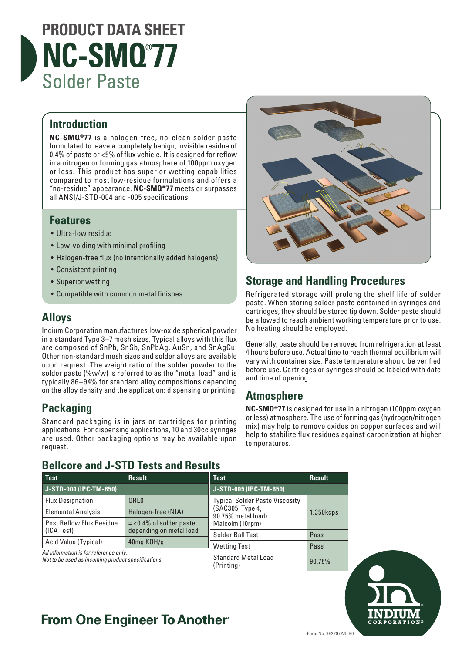# **PRODUCT DATA SHEET NC-SMQ® 77** Solder Paste

### **Introduction**

**NC-SMQ®77** is a halogen-free, no-clean solder paste formulated to leave a completely benign, invisible residue of 0.4% of paste or <5% of flux vehicle. It is designed for reflow in a nitrogen or forming gas atmosphere of 100ppm oxygen or less. This product has superior wetting capabilities compared to most low-residue formulations and offers a "no-residue" appearance. **NC-SMQ®77** meets or surpasses all ANSI/J-STD-004 and -005 specifications.

### **Features**

- Ultra-low residue
- Low-voiding with minimal profiling
- Halogen-free flux (no intentionally added halogens)
- Consistent printing
- Superior wetting
- Compatible with common metal finishes

### **Alloys**

Indium Corporation manufactures low-oxide spherical powder in a standard Type 3–7 mesh sizes. Typical alloys with this flux are composed of SnPb, SnSb, SnPbAg, AuSn, and SnAgCu. Other non-standard mesh sizes and solder alloys are available upon request. The weight ratio of the solder powder to the solder paste (%w/w) is referred to as the "metal load" and is typically 86–94% for standard alloy compositions depending on the alloy density and the application: dispensing or printing.

### **Packaging**

Standard packaging is in jars or cartridges for printing applications. For dispensing applications, 10 and 30cc syringes are used. Other packaging options may be available upon request.

### **Bellcore and J-STD Tests and Results**



### **Storage and Handling Procedures**

Refrigerated storage will prolong the shelf life of solder paste. When storing solder paste contained in syringes and cartridges, they should be stored tip down. Solder paste should be allowed to reach ambient working temperature prior to use. No heating should be employed.

Generally, paste should be removed from refrigeration at least 4 hours before use. Actual time to reach thermal equilibrium will vary with container size. Paste temperature should be verified before use. Cartridges or syringes should be labeled with date and time of opening.

### **Atmosphere**

**NC-SMQ®77** is designed for use in a nitrogen (100ppm oxygen or less) atmosphere. The use of forming gas (hydrogen/nitrogen mix) may help to remove oxides on copper surfaces and will help to stabilize flux residues against carbonization at higher temperatures.

| Test                                                                                         | <b>Result</b>             | <b>Test</b>                                                                     | <b>Result</b> |
|----------------------------------------------------------------------------------------------|---------------------------|---------------------------------------------------------------------------------|---------------|
| J-STD-004 (IPC-TM-650)                                                                       |                           | J-STD-005 (IPC-TM-650)                                                          |               |
| <b>Flux Designation</b>                                                                      | ORL <sub>0</sub>          | <b>Typical Solder Paste Viscosity</b><br>(SAC305, Type 4,<br>90.75% metal load) | $1,350k$ cps  |
| <b>Elemental Analysis</b>                                                                    | Halogen-free (NIA)        |                                                                                 |               |
| <b>Post Reflow Flux Residue</b>                                                              | $=$ <0.4% of solder paste | Malcolm (10rpm)                                                                 |               |
| (ICA Test)                                                                                   | depending on metal load   | Solder Ball Test                                                                | Pass          |
| Acid Value (Typical)                                                                         | 40mg KOH/g                | <b>Wetting Test</b>                                                             | Pass          |
| All information is for reference only.<br>Not to be used as incoming product specifications. |                           |                                                                                 |               |
|                                                                                              |                           | <b>Standard Metal Load</b><br>(Printina)                                        | 90.75%        |



## **From One Engineer To Another**®